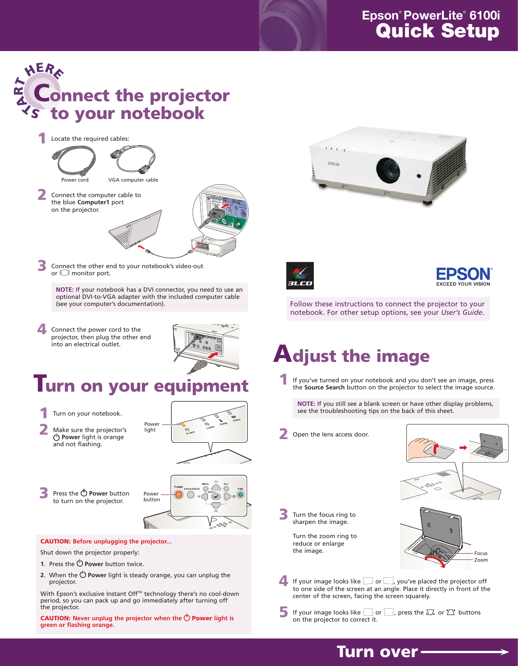If you've turned on your notebook and you don't see an image, press the **Source Search** button on the projector to select the image source.

Turn the focus ring to sharpen the image.

**NOTE:** If you still see a blank screen or have other display problems, see the troubleshooting tips on the back of this sheet.

Open the lens access door.



**4** If your image looks like  $\Box$  or  $\Box$ , you've placed the projector off to one side of the screen at an angle. Place it directly in front of the center of the screen, facing the screen squarely.

If your image looks like  $\Box$  or  $\Box$ , press the  $\Box$  or  $\Box$  buttons on the projector to correct it.

Turn the zoom ring to reduce or enlarge the image.

Make sure the projector's **Power** light is orange and not flashing.

### HER Connect the projector to your notebook

- **1.** Press the *Power* button twice.
- **2.** When the  $\bigcirc$  **Power** light is steady orange, you can unplug the projector.

With Epson's exclusive Instant Off™ technology there's no cool-down period, so you can pack up and go immediately after turning off the projector.

**CAUTION:** Never unplug the projector when the  $\bigcirc$  **Power** light is **green or flashing orange.**



### Turn on your equipment

Turn on your notebook.

Follow these instructions to connect the projector to your notebook. For other setup options, see your *User's Guide*.

Connect the power cord to the projector, then plug the other end into an electrical outlet.



### **Epson**® **PowerLite**® **6100i** Quick Setup

## Adjust the image

#### CAUTION: **Before unplugging the projector...**

Shut down the projector properly:



Connect the other end to your notebook's video-out or  $\Box$  monitor port.









![](_page_0_Picture_12.jpeg)

![](_page_0_Picture_13.jpeg)

![](_page_0_Figure_31.jpeg)

**NOTE:** If your notebook has a DVI connector, you need to use an optional DVI-to-VGA adapter with the included computer cable (see your computer's documentation).